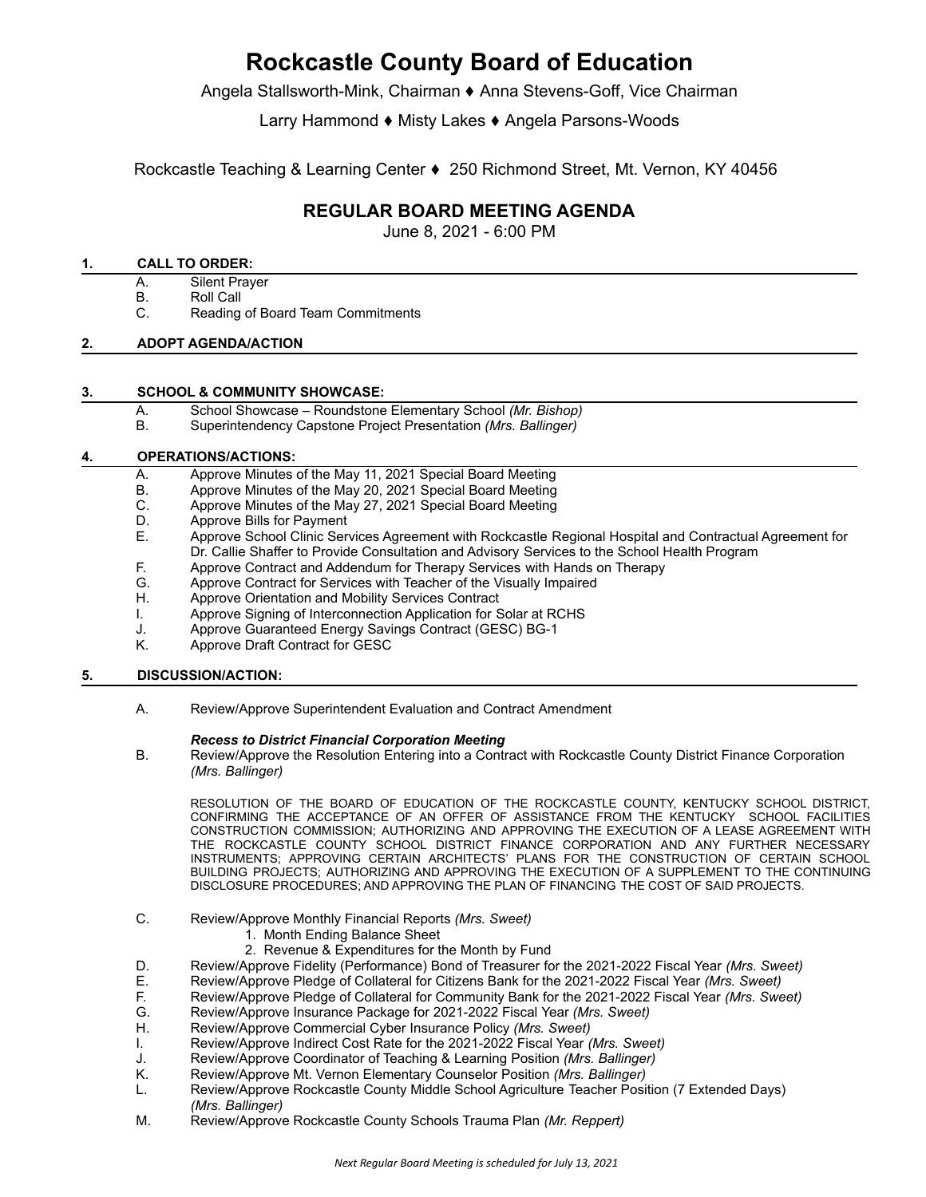# **Rockcastle County Board of Education**

Angela Stallsworth-Mink, Chairman ♦ Anna Stevens-Goff, Vice Chairman

Larry Hammond ♦ Misty Lakes ♦ Angela Parsons-Woods

Rockcastle Teaching & Learning Center ♦ 250 Richmond Street, Mt. Vernon, KY 40456

# **REGULAR BOARD MEETING AGENDA**

June 8, 2021 - 6:00 PM

#### **1. CALL TO ORDER:**

- A. Silent Prayer
- B. Roll Call
- C. Reading of Board Team Commitments

#### **2. ADOPT AGENDA/ACTION**

#### **3. SCHOOL & COMMUNITY SHOWCASE:**

- A. School Showcase Roundstone Elementary School *(Mr. Bishop)*
- B. Superintendency Capstone Project Presentation *(Mrs. Ballinger)*

# **4. OPERATIONS/ACTIONS:**

- A. Approve Minutes of the May 11, 2021 Special Board Meeting<br>B. Approve Minutes of the May 20, 2021 Special Board Meeting
- Approve Minutes of the May 20, 2021 Special Board Meeting
- C. Approve Minutes of the May 27, 2021 Special Board Meeting
- D. Approve Bills for Payment<br>E. Approve School Clinic Ser
- E. Approve School Clinic Services Agreement with Rockcastle Regional Hospital and Contractual Agreement for Dr. Callie Shaffer to Provide Consultation and Advisory Services to the School Health Program
- F. Approve Contract and Addendum for Therapy Services with Hands on Therapy<br>G. Approve Contract for Services with Teacher of the Visually Impaired
- Approve Contract for Services with Teacher of the Visually Impaired
- H. Approve Orientation and Mobility Services Contract
- I. Approve Signing of Interconnection Application for Solar at RCHS
- J. Approve Guaranteed Energy Savings Contract (GESC) BG-1
- K. Approve Draft Contract for GESC

# **5. DISCUSSION/ACTION:**

A. Review/Approve Superintendent Evaluation and Contract Amendment

#### *Recess to District Financial Corporation Meeting*

B. Review/Approve the Resolution Entering into a Contract with Rockcastle County District Finance Corporation *(Mrs. Ballinger)*

RESOLUTION OF THE BOARD OF EDUCATION OF THE ROCKCASTLE COUNTY, KENTUCKY SCHOOL DISTRICT, CONFIRMING THE ACCEPTANCE OF AN OFFER OF ASSISTANCE FROM THE KENTUCKY SCHOOL FACILITIES CONSTRUCTION COMMISSION; AUTHORIZING AND APPROVING THE EXECUTION OF A LEASE AGREEMENT WITH THE ROCKCASTLE COUNTY SCHOOL DISTRICT FINANCE CORPORATION AND ANY FURTHER NECESSARY INSTRUMENTS; APPROVING CERTAIN ARCHITECTS' PLANS FOR THE CONSTRUCTION OF CERTAIN SCHOOL BUILDING PROJECTS; AUTHORIZING AND APPROVING THE EXECUTION OF A SUPPLEMENT TO THE CONTINUING DISCLOSURE PROCEDURES; AND APPROVING THE PLAN OF FINANCING THE COST OF SAID PROJECTS.

- C. Review/Approve Monthly Financial Reports *(Mrs. Sweet)*
	- 1. Month Ending Balance Sheet
	- 2. Revenue & Expenditures for the Month by Fund
- D. Review/Approve Fidelity (Performance) Bond of Treasurer for the 2021-2022 Fiscal Year *(Mrs. Sweet)*
- E. Review/Approve Pledge of Collateral for Citizens Bank for the 2021-2022 Fiscal Year *(Mrs. Sweet)*
- F. Review/Approve Pledge of Collateral for Community Bank for the 2021-2022 Fiscal Year *(Mrs. Sweet)*
- G. Review/Approve Insurance Package for 2021-2022 Fiscal Year *(Mrs. Sweet)*
- H. Review/Approve Commercial Cyber Insurance Policy *(Mrs. Sweet)*
- I. Review/Approve Indirect Cost Rate for the 2021-2022 Fiscal Year *(Mrs. Sweet)*
- J. Review/Approve Coordinator of Teaching & Learning Position *(Mrs. Ballinger)*
- K. Review/Approve Mt. Vernon Elementary Counselor Position *(Mrs. Ballinger)*
- L. Review/Approve Rockcastle County Middle School Agriculture Teacher Position (7 Extended Days) *(Mrs. Ballinger)*
- M. Review/Approve Rockcastle County Schools Trauma Plan *(Mr. Reppert)*